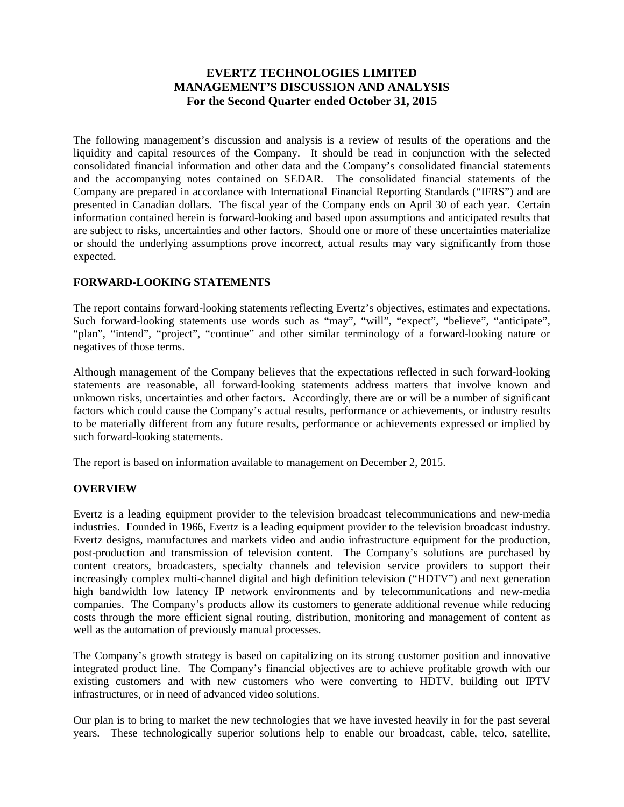# **EVERTZ TECHNOLOGIES LIMITED MANAGEMENT'S DISCUSSION AND ANALYSIS For the Second Quarter ended October 31, 2015**

The following management's discussion and analysis is a review of results of the operations and the liquidity and capital resources of the Company. It should be read in conjunction with the selected consolidated financial information and other data and the Company's consolidated financial statements and the accompanying notes contained on SEDAR. The consolidated financial statements of the Company are prepared in accordance with International Financial Reporting Standards ("IFRS") and are presented in Canadian dollars. The fiscal year of the Company ends on April 30 of each year. Certain information contained herein is forward-looking and based upon assumptions and anticipated results that are subject to risks, uncertainties and other factors. Should one or more of these uncertainties materialize or should the underlying assumptions prove incorrect, actual results may vary significantly from those expected.

## **FORWARD-LOOKING STATEMENTS**

The report contains forward-looking statements reflecting Evertz's objectives, estimates and expectations. Such forward-looking statements use words such as "may", "will", "expect", "believe", "anticipate", "plan", "intend", "project", "continue" and other similar terminology of a forward-looking nature or negatives of those terms.

Although management of the Company believes that the expectations reflected in such forward-looking statements are reasonable, all forward-looking statements address matters that involve known and unknown risks, uncertainties and other factors. Accordingly, there are or will be a number of significant factors which could cause the Company's actual results, performance or achievements, or industry results to be materially different from any future results, performance or achievements expressed or implied by such forward-looking statements.

The report is based on information available to management on December 2, 2015.

## **OVERVIEW**

Evertz is a leading equipment provider to the television broadcast telecommunications and new-media industries. Founded in 1966, Evertz is a leading equipment provider to the television broadcast industry. Evertz designs, manufactures and markets video and audio infrastructure equipment for the production, post-production and transmission of television content. The Company's solutions are purchased by content creators, broadcasters, specialty channels and television service providers to support their increasingly complex multi-channel digital and high definition television ("HDTV") and next generation high bandwidth low latency IP network environments and by telecommunications and new-media companies. The Company's products allow its customers to generate additional revenue while reducing costs through the more efficient signal routing, distribution, monitoring and management of content as well as the automation of previously manual processes.

The Company's growth strategy is based on capitalizing on its strong customer position and innovative integrated product line. The Company's financial objectives are to achieve profitable growth with our existing customers and with new customers who were converting to HDTV, building out IPTV infrastructures, or in need of advanced video solutions.

Our plan is to bring to market the new technologies that we have invested heavily in for the past several years. These technologically superior solutions help to enable our broadcast, cable, telco, satellite,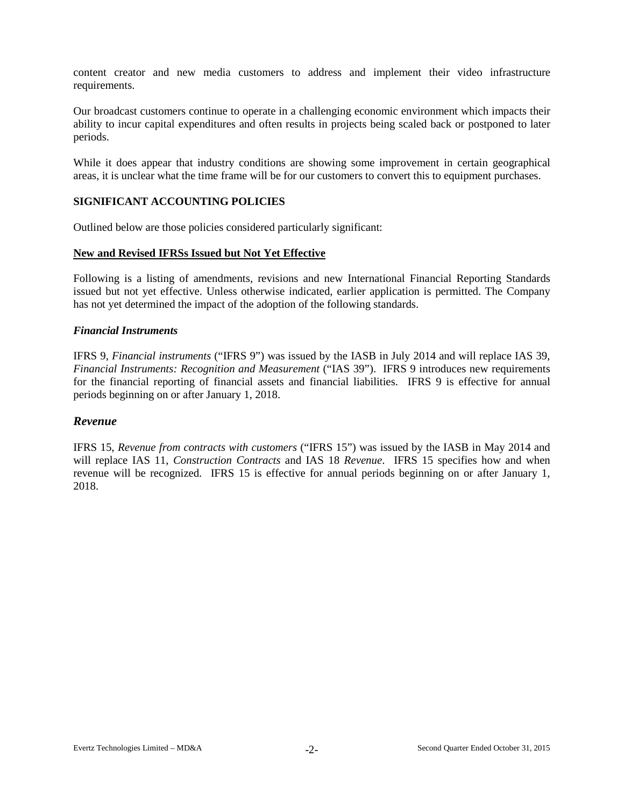content creator and new media customers to address and implement their video infrastructure requirements.

Our broadcast customers continue to operate in a challenging economic environment which impacts their ability to incur capital expenditures and often results in projects being scaled back or postponed to later periods.

While it does appear that industry conditions are showing some improvement in certain geographical areas, it is unclear what the time frame will be for our customers to convert this to equipment purchases.

## **SIGNIFICANT ACCOUNTING POLICIES**

Outlined below are those policies considered particularly significant:

#### **New and Revised IFRSs Issued but Not Yet Effective**

Following is a listing of amendments, revisions and new International Financial Reporting Standards issued but not yet effective. Unless otherwise indicated, earlier application is permitted. The Company has not yet determined the impact of the adoption of the following standards.

#### *Financial Instruments*

IFRS 9, *Financial instruments* ("IFRS 9") was issued by the IASB in July 2014 and will replace IAS 39, *Financial Instruments: Recognition and Measurement* ("IAS 39"). IFRS 9 introduces new requirements for the financial reporting of financial assets and financial liabilities. IFRS 9 is effective for annual periods beginning on or after January 1, 2018.

## *Revenue*

IFRS 15, *Revenue from contracts with customers* ("IFRS 15") was issued by the IASB in May 2014 and will replace IAS 11, *Construction Contracts* and IAS 18 *Revenue*. IFRS 15 specifies how and when revenue will be recognized. IFRS 15 is effective for annual periods beginning on or after January 1, 2018.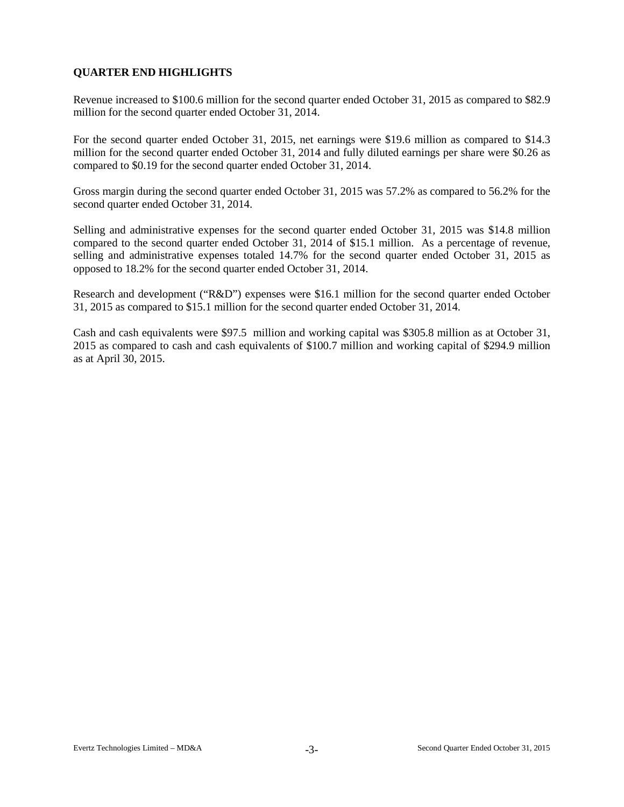# **QUARTER END HIGHLIGHTS**

Revenue increased to \$100.6 million for the second quarter ended October 31, 2015 as compared to \$82.9 million for the second quarter ended October 31, 2014.

For the second quarter ended October 31, 2015, net earnings were \$19.6 million as compared to \$14.3 million for the second quarter ended October 31, 2014 and fully diluted earnings per share were \$0.26 as compared to \$0.19 for the second quarter ended October 31, 2014.

Gross margin during the second quarter ended October 31, 2015 was 57.2% as compared to 56.2% for the second quarter ended October 31, 2014.

Selling and administrative expenses for the second quarter ended October 31, 2015 was \$14.8 million compared to the second quarter ended October 31, 2014 of \$15.1 million. As a percentage of revenue, selling and administrative expenses totaled 14.7% for the second quarter ended October 31, 2015 as opposed to 18.2% for the second quarter ended October 31, 2014.

Research and development ("R&D") expenses were \$16.1 million for the second quarter ended October 31, 2015 as compared to \$15.1 million for the second quarter ended October 31, 2014.

Cash and cash equivalents were \$97.5 million and working capital was \$305.8 million as at October 31, 2015 as compared to cash and cash equivalents of \$100.7 million and working capital of \$294.9 million as at April 30, 2015.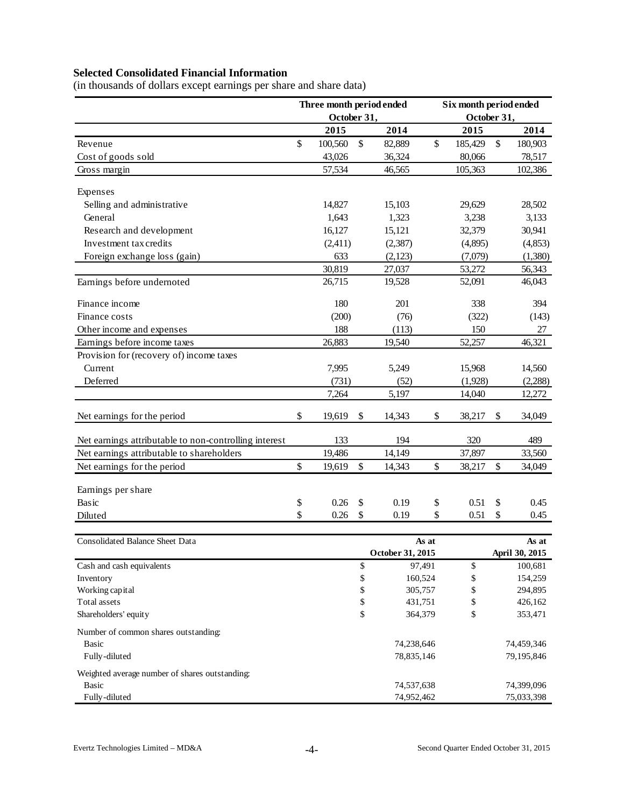# **Selected Consolidated Financial Information**

(in thousands of dollars except earnings per share and share data)

| October 31,<br>October 31,<br>2014<br>2015<br>2014<br>2015<br>\$<br>\$<br>\$<br>\$<br>100,560<br>82,889<br>185,429<br>180,903<br>43,026<br>36,324<br>80,066<br>78,517<br>Gross margin<br>57,534<br>46,565<br>105,363<br>102,386<br>Expenses<br>Selling and administrative<br>14,827<br>15,103<br>29,629<br>28,502<br>1,643<br>3,133<br>General<br>1,323<br>3,238<br>16,127<br>Research and development<br>15,121<br>32,379<br>30,941<br>Investment tax credits<br>(2,411)<br>(2, 387)<br>(4,895)<br>(4, 853)<br>633<br>Foreign exchange loss (gain)<br>(2,123)<br>(1,380)<br>(7,079)<br>30,819<br>27,037<br>53,272<br>56,343<br>26,715<br>46,043<br>19,528<br>52,091<br>180<br>201<br>338<br>394<br>(200)<br>(76)<br>(322)<br>Finance costs<br>(143)<br>188<br>Other income and expenses<br>(113)<br>150<br>27<br>26,883<br>19,540<br>52,257<br>46,321<br>Provision for (recovery of) income taxes<br>Current<br>7,995<br>5,249<br>15,968<br>14,560<br>(731)<br>Deferred<br>(52)<br>(1,928)<br>(2,288)<br>5,197<br>7,264<br>14,040<br>12,272<br>\$<br>19,619<br>14,343<br>\$<br>38,217<br>34,049<br>\$<br>\$<br>194<br>320<br>Net earnings attributable to non-controlling interest<br>133<br>489<br>Net earnings attributable to shareholders<br>19,486<br>14,149<br>37,897<br>33,560<br>\$<br>\$<br>\$<br>Net earnings for the period<br>19,619<br>\$<br>38,217<br>34,049<br>14,343<br>0.26<br>0.19<br>\$<br>\$<br>\$<br>\$<br>0.51<br>0.45<br>\$<br>0.26<br>\$<br>\$<br>0.51<br>0.19<br>\$<br>0.45<br>As at<br>As at<br>October 31, 2015<br>April 30, 2015<br>\$<br>\$<br>97,491<br>100,681<br>\$<br>\$<br>160,524<br>154,259<br>\$<br>\$<br>Working capital<br>305,757<br>294,895<br>\$<br>\$<br>Total assets<br>431,751<br>426,162<br>\$<br>\$<br>Shareholders' equity<br>364,379<br>353,471<br>Number of common shares outstanding:<br><b>Basic</b><br>74,238,646<br>74,459,346<br>Fully-diluted<br>78,835,146<br>79,195,846<br>Weighted average number of shares outstanding:<br><b>Basic</b><br>74,537,638<br>74,399,096<br>Fully-diluted<br>74,952,462<br>75,033,398 |                                 | Three month period ended |  | Six month period ended |  |  |  |  |  |  |
|-------------------------------------------------------------------------------------------------------------------------------------------------------------------------------------------------------------------------------------------------------------------------------------------------------------------------------------------------------------------------------------------------------------------------------------------------------------------------------------------------------------------------------------------------------------------------------------------------------------------------------------------------------------------------------------------------------------------------------------------------------------------------------------------------------------------------------------------------------------------------------------------------------------------------------------------------------------------------------------------------------------------------------------------------------------------------------------------------------------------------------------------------------------------------------------------------------------------------------------------------------------------------------------------------------------------------------------------------------------------------------------------------------------------------------------------------------------------------------------------------------------------------------------------------------------------------------------------------------------------------------------------------------------------------------------------------------------------------------------------------------------------------------------------------------------------------------------------------------------------------------------------------------------------------------------------------------------------------------------------------------------------------------------------------------------------------------|---------------------------------|--------------------------|--|------------------------|--|--|--|--|--|--|
|                                                                                                                                                                                                                                                                                                                                                                                                                                                                                                                                                                                                                                                                                                                                                                                                                                                                                                                                                                                                                                                                                                                                                                                                                                                                                                                                                                                                                                                                                                                                                                                                                                                                                                                                                                                                                                                                                                                                                                                                                                                                               |                                 |                          |  |                        |  |  |  |  |  |  |
|                                                                                                                                                                                                                                                                                                                                                                                                                                                                                                                                                                                                                                                                                                                                                                                                                                                                                                                                                                                                                                                                                                                                                                                                                                                                                                                                                                                                                                                                                                                                                                                                                                                                                                                                                                                                                                                                                                                                                                                                                                                                               |                                 |                          |  |                        |  |  |  |  |  |  |
|                                                                                                                                                                                                                                                                                                                                                                                                                                                                                                                                                                                                                                                                                                                                                                                                                                                                                                                                                                                                                                                                                                                                                                                                                                                                                                                                                                                                                                                                                                                                                                                                                                                                                                                                                                                                                                                                                                                                                                                                                                                                               | Revenue                         |                          |  |                        |  |  |  |  |  |  |
|                                                                                                                                                                                                                                                                                                                                                                                                                                                                                                                                                                                                                                                                                                                                                                                                                                                                                                                                                                                                                                                                                                                                                                                                                                                                                                                                                                                                                                                                                                                                                                                                                                                                                                                                                                                                                                                                                                                                                                                                                                                                               | Cost of goods sold              |                          |  |                        |  |  |  |  |  |  |
|                                                                                                                                                                                                                                                                                                                                                                                                                                                                                                                                                                                                                                                                                                                                                                                                                                                                                                                                                                                                                                                                                                                                                                                                                                                                                                                                                                                                                                                                                                                                                                                                                                                                                                                                                                                                                                                                                                                                                                                                                                                                               |                                 |                          |  |                        |  |  |  |  |  |  |
|                                                                                                                                                                                                                                                                                                                                                                                                                                                                                                                                                                                                                                                                                                                                                                                                                                                                                                                                                                                                                                                                                                                                                                                                                                                                                                                                                                                                                                                                                                                                                                                                                                                                                                                                                                                                                                                                                                                                                                                                                                                                               |                                 |                          |  |                        |  |  |  |  |  |  |
|                                                                                                                                                                                                                                                                                                                                                                                                                                                                                                                                                                                                                                                                                                                                                                                                                                                                                                                                                                                                                                                                                                                                                                                                                                                                                                                                                                                                                                                                                                                                                                                                                                                                                                                                                                                                                                                                                                                                                                                                                                                                               |                                 |                          |  |                        |  |  |  |  |  |  |
|                                                                                                                                                                                                                                                                                                                                                                                                                                                                                                                                                                                                                                                                                                                                                                                                                                                                                                                                                                                                                                                                                                                                                                                                                                                                                                                                                                                                                                                                                                                                                                                                                                                                                                                                                                                                                                                                                                                                                                                                                                                                               |                                 |                          |  |                        |  |  |  |  |  |  |
|                                                                                                                                                                                                                                                                                                                                                                                                                                                                                                                                                                                                                                                                                                                                                                                                                                                                                                                                                                                                                                                                                                                                                                                                                                                                                                                                                                                                                                                                                                                                                                                                                                                                                                                                                                                                                                                                                                                                                                                                                                                                               |                                 |                          |  |                        |  |  |  |  |  |  |
|                                                                                                                                                                                                                                                                                                                                                                                                                                                                                                                                                                                                                                                                                                                                                                                                                                                                                                                                                                                                                                                                                                                                                                                                                                                                                                                                                                                                                                                                                                                                                                                                                                                                                                                                                                                                                                                                                                                                                                                                                                                                               |                                 |                          |  |                        |  |  |  |  |  |  |
|                                                                                                                                                                                                                                                                                                                                                                                                                                                                                                                                                                                                                                                                                                                                                                                                                                                                                                                                                                                                                                                                                                                                                                                                                                                                                                                                                                                                                                                                                                                                                                                                                                                                                                                                                                                                                                                                                                                                                                                                                                                                               |                                 |                          |  |                        |  |  |  |  |  |  |
|                                                                                                                                                                                                                                                                                                                                                                                                                                                                                                                                                                                                                                                                                                                                                                                                                                                                                                                                                                                                                                                                                                                                                                                                                                                                                                                                                                                                                                                                                                                                                                                                                                                                                                                                                                                                                                                                                                                                                                                                                                                                               |                                 |                          |  |                        |  |  |  |  |  |  |
|                                                                                                                                                                                                                                                                                                                                                                                                                                                                                                                                                                                                                                                                                                                                                                                                                                                                                                                                                                                                                                                                                                                                                                                                                                                                                                                                                                                                                                                                                                                                                                                                                                                                                                                                                                                                                                                                                                                                                                                                                                                                               |                                 |                          |  |                        |  |  |  |  |  |  |
|                                                                                                                                                                                                                                                                                                                                                                                                                                                                                                                                                                                                                                                                                                                                                                                                                                                                                                                                                                                                                                                                                                                                                                                                                                                                                                                                                                                                                                                                                                                                                                                                                                                                                                                                                                                                                                                                                                                                                                                                                                                                               | Earnings before undernoted      |                          |  |                        |  |  |  |  |  |  |
|                                                                                                                                                                                                                                                                                                                                                                                                                                                                                                                                                                                                                                                                                                                                                                                                                                                                                                                                                                                                                                                                                                                                                                                                                                                                                                                                                                                                                                                                                                                                                                                                                                                                                                                                                                                                                                                                                                                                                                                                                                                                               | Finance income                  |                          |  |                        |  |  |  |  |  |  |
|                                                                                                                                                                                                                                                                                                                                                                                                                                                                                                                                                                                                                                                                                                                                                                                                                                                                                                                                                                                                                                                                                                                                                                                                                                                                                                                                                                                                                                                                                                                                                                                                                                                                                                                                                                                                                                                                                                                                                                                                                                                                               |                                 |                          |  |                        |  |  |  |  |  |  |
|                                                                                                                                                                                                                                                                                                                                                                                                                                                                                                                                                                                                                                                                                                                                                                                                                                                                                                                                                                                                                                                                                                                                                                                                                                                                                                                                                                                                                                                                                                                                                                                                                                                                                                                                                                                                                                                                                                                                                                                                                                                                               |                                 |                          |  |                        |  |  |  |  |  |  |
|                                                                                                                                                                                                                                                                                                                                                                                                                                                                                                                                                                                                                                                                                                                                                                                                                                                                                                                                                                                                                                                                                                                                                                                                                                                                                                                                                                                                                                                                                                                                                                                                                                                                                                                                                                                                                                                                                                                                                                                                                                                                               | Earnings before income taxes    |                          |  |                        |  |  |  |  |  |  |
|                                                                                                                                                                                                                                                                                                                                                                                                                                                                                                                                                                                                                                                                                                                                                                                                                                                                                                                                                                                                                                                                                                                                                                                                                                                                                                                                                                                                                                                                                                                                                                                                                                                                                                                                                                                                                                                                                                                                                                                                                                                                               |                                 |                          |  |                        |  |  |  |  |  |  |
|                                                                                                                                                                                                                                                                                                                                                                                                                                                                                                                                                                                                                                                                                                                                                                                                                                                                                                                                                                                                                                                                                                                                                                                                                                                                                                                                                                                                                                                                                                                                                                                                                                                                                                                                                                                                                                                                                                                                                                                                                                                                               |                                 |                          |  |                        |  |  |  |  |  |  |
|                                                                                                                                                                                                                                                                                                                                                                                                                                                                                                                                                                                                                                                                                                                                                                                                                                                                                                                                                                                                                                                                                                                                                                                                                                                                                                                                                                                                                                                                                                                                                                                                                                                                                                                                                                                                                                                                                                                                                                                                                                                                               |                                 |                          |  |                        |  |  |  |  |  |  |
|                                                                                                                                                                                                                                                                                                                                                                                                                                                                                                                                                                                                                                                                                                                                                                                                                                                                                                                                                                                                                                                                                                                                                                                                                                                                                                                                                                                                                                                                                                                                                                                                                                                                                                                                                                                                                                                                                                                                                                                                                                                                               |                                 |                          |  |                        |  |  |  |  |  |  |
|                                                                                                                                                                                                                                                                                                                                                                                                                                                                                                                                                                                                                                                                                                                                                                                                                                                                                                                                                                                                                                                                                                                                                                                                                                                                                                                                                                                                                                                                                                                                                                                                                                                                                                                                                                                                                                                                                                                                                                                                                                                                               | Net earnings for the period     |                          |  |                        |  |  |  |  |  |  |
|                                                                                                                                                                                                                                                                                                                                                                                                                                                                                                                                                                                                                                                                                                                                                                                                                                                                                                                                                                                                                                                                                                                                                                                                                                                                                                                                                                                                                                                                                                                                                                                                                                                                                                                                                                                                                                                                                                                                                                                                                                                                               |                                 |                          |  |                        |  |  |  |  |  |  |
|                                                                                                                                                                                                                                                                                                                                                                                                                                                                                                                                                                                                                                                                                                                                                                                                                                                                                                                                                                                                                                                                                                                                                                                                                                                                                                                                                                                                                                                                                                                                                                                                                                                                                                                                                                                                                                                                                                                                                                                                                                                                               |                                 |                          |  |                        |  |  |  |  |  |  |
|                                                                                                                                                                                                                                                                                                                                                                                                                                                                                                                                                                                                                                                                                                                                                                                                                                                                                                                                                                                                                                                                                                                                                                                                                                                                                                                                                                                                                                                                                                                                                                                                                                                                                                                                                                                                                                                                                                                                                                                                                                                                               |                                 |                          |  |                        |  |  |  |  |  |  |
|                                                                                                                                                                                                                                                                                                                                                                                                                                                                                                                                                                                                                                                                                                                                                                                                                                                                                                                                                                                                                                                                                                                                                                                                                                                                                                                                                                                                                                                                                                                                                                                                                                                                                                                                                                                                                                                                                                                                                                                                                                                                               |                                 |                          |  |                        |  |  |  |  |  |  |
|                                                                                                                                                                                                                                                                                                                                                                                                                                                                                                                                                                                                                                                                                                                                                                                                                                                                                                                                                                                                                                                                                                                                                                                                                                                                                                                                                                                                                                                                                                                                                                                                                                                                                                                                                                                                                                                                                                                                                                                                                                                                               | Earnings per share              |                          |  |                        |  |  |  |  |  |  |
|                                                                                                                                                                                                                                                                                                                                                                                                                                                                                                                                                                                                                                                                                                                                                                                                                                                                                                                                                                                                                                                                                                                                                                                                                                                                                                                                                                                                                                                                                                                                                                                                                                                                                                                                                                                                                                                                                                                                                                                                                                                                               | Basic                           |                          |  |                        |  |  |  |  |  |  |
|                                                                                                                                                                                                                                                                                                                                                                                                                                                                                                                                                                                                                                                                                                                                                                                                                                                                                                                                                                                                                                                                                                                                                                                                                                                                                                                                                                                                                                                                                                                                                                                                                                                                                                                                                                                                                                                                                                                                                                                                                                                                               | Diluted                         |                          |  |                        |  |  |  |  |  |  |
|                                                                                                                                                                                                                                                                                                                                                                                                                                                                                                                                                                                                                                                                                                                                                                                                                                                                                                                                                                                                                                                                                                                                                                                                                                                                                                                                                                                                                                                                                                                                                                                                                                                                                                                                                                                                                                                                                                                                                                                                                                                                               |                                 |                          |  |                        |  |  |  |  |  |  |
|                                                                                                                                                                                                                                                                                                                                                                                                                                                                                                                                                                                                                                                                                                                                                                                                                                                                                                                                                                                                                                                                                                                                                                                                                                                                                                                                                                                                                                                                                                                                                                                                                                                                                                                                                                                                                                                                                                                                                                                                                                                                               | Consolidated Balance Sheet Data |                          |  |                        |  |  |  |  |  |  |
|                                                                                                                                                                                                                                                                                                                                                                                                                                                                                                                                                                                                                                                                                                                                                                                                                                                                                                                                                                                                                                                                                                                                                                                                                                                                                                                                                                                                                                                                                                                                                                                                                                                                                                                                                                                                                                                                                                                                                                                                                                                                               |                                 |                          |  |                        |  |  |  |  |  |  |
|                                                                                                                                                                                                                                                                                                                                                                                                                                                                                                                                                                                                                                                                                                                                                                                                                                                                                                                                                                                                                                                                                                                                                                                                                                                                                                                                                                                                                                                                                                                                                                                                                                                                                                                                                                                                                                                                                                                                                                                                                                                                               | Cash and cash equivalents       |                          |  |                        |  |  |  |  |  |  |
|                                                                                                                                                                                                                                                                                                                                                                                                                                                                                                                                                                                                                                                                                                                                                                                                                                                                                                                                                                                                                                                                                                                                                                                                                                                                                                                                                                                                                                                                                                                                                                                                                                                                                                                                                                                                                                                                                                                                                                                                                                                                               | Inventory                       |                          |  |                        |  |  |  |  |  |  |
|                                                                                                                                                                                                                                                                                                                                                                                                                                                                                                                                                                                                                                                                                                                                                                                                                                                                                                                                                                                                                                                                                                                                                                                                                                                                                                                                                                                                                                                                                                                                                                                                                                                                                                                                                                                                                                                                                                                                                                                                                                                                               |                                 |                          |  |                        |  |  |  |  |  |  |
|                                                                                                                                                                                                                                                                                                                                                                                                                                                                                                                                                                                                                                                                                                                                                                                                                                                                                                                                                                                                                                                                                                                                                                                                                                                                                                                                                                                                                                                                                                                                                                                                                                                                                                                                                                                                                                                                                                                                                                                                                                                                               |                                 |                          |  |                        |  |  |  |  |  |  |
|                                                                                                                                                                                                                                                                                                                                                                                                                                                                                                                                                                                                                                                                                                                                                                                                                                                                                                                                                                                                                                                                                                                                                                                                                                                                                                                                                                                                                                                                                                                                                                                                                                                                                                                                                                                                                                                                                                                                                                                                                                                                               |                                 |                          |  |                        |  |  |  |  |  |  |
|                                                                                                                                                                                                                                                                                                                                                                                                                                                                                                                                                                                                                                                                                                                                                                                                                                                                                                                                                                                                                                                                                                                                                                                                                                                                                                                                                                                                                                                                                                                                                                                                                                                                                                                                                                                                                                                                                                                                                                                                                                                                               |                                 |                          |  |                        |  |  |  |  |  |  |
|                                                                                                                                                                                                                                                                                                                                                                                                                                                                                                                                                                                                                                                                                                                                                                                                                                                                                                                                                                                                                                                                                                                                                                                                                                                                                                                                                                                                                                                                                                                                                                                                                                                                                                                                                                                                                                                                                                                                                                                                                                                                               |                                 |                          |  |                        |  |  |  |  |  |  |
|                                                                                                                                                                                                                                                                                                                                                                                                                                                                                                                                                                                                                                                                                                                                                                                                                                                                                                                                                                                                                                                                                                                                                                                                                                                                                                                                                                                                                                                                                                                                                                                                                                                                                                                                                                                                                                                                                                                                                                                                                                                                               |                                 |                          |  |                        |  |  |  |  |  |  |
|                                                                                                                                                                                                                                                                                                                                                                                                                                                                                                                                                                                                                                                                                                                                                                                                                                                                                                                                                                                                                                                                                                                                                                                                                                                                                                                                                                                                                                                                                                                                                                                                                                                                                                                                                                                                                                                                                                                                                                                                                                                                               |                                 |                          |  |                        |  |  |  |  |  |  |
|                                                                                                                                                                                                                                                                                                                                                                                                                                                                                                                                                                                                                                                                                                                                                                                                                                                                                                                                                                                                                                                                                                                                                                                                                                                                                                                                                                                                                                                                                                                                                                                                                                                                                                                                                                                                                                                                                                                                                                                                                                                                               |                                 |                          |  |                        |  |  |  |  |  |  |
|                                                                                                                                                                                                                                                                                                                                                                                                                                                                                                                                                                                                                                                                                                                                                                                                                                                                                                                                                                                                                                                                                                                                                                                                                                                                                                                                                                                                                                                                                                                                                                                                                                                                                                                                                                                                                                                                                                                                                                                                                                                                               |                                 |                          |  |                        |  |  |  |  |  |  |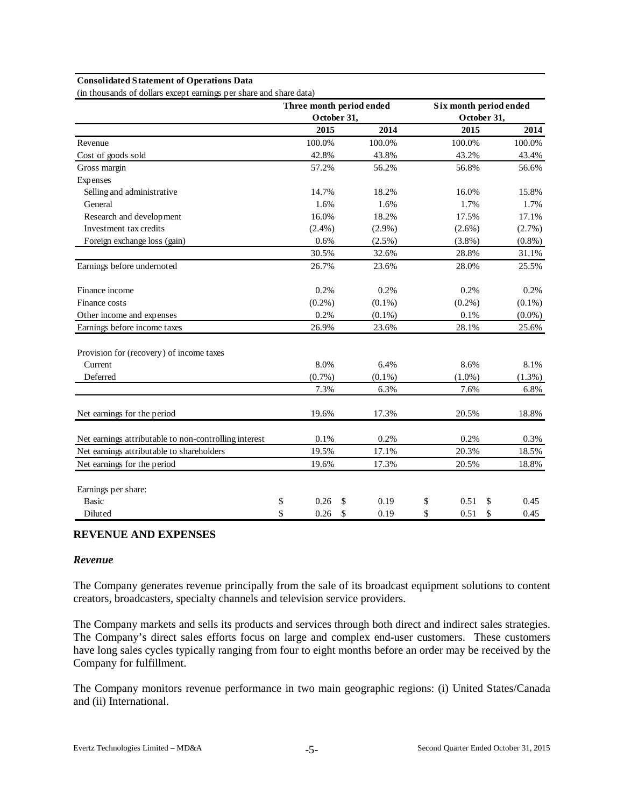#### **Consolidated Statement of Operations Data**

(in thousands of dollars except earnings per share and share data)

|                                                       | Three month period ended |             |           | Six month period ended |           |
|-------------------------------------------------------|--------------------------|-------------|-----------|------------------------|-----------|
|                                                       |                          | October 31, |           | October 31,            |           |
|                                                       | 2015                     |             | 2014      | 2015                   | 2014      |
| Revenue                                               | 100.0%                   |             | 100.0%    | 100.0%                 | 100.0%    |
| Cost of goods sold                                    | 42.8%                    |             | 43.8%     | 43.2%                  | 43.4%     |
| Gross margin                                          | 57.2%                    |             | 56.2%     | 56.8%                  | 56.6%     |
| Expenses                                              |                          |             |           |                        |           |
| Selling and administrative                            | 14.7%                    |             | 18.2%     | 16.0%                  | 15.8%     |
| General                                               | 1.6%                     |             | 1.6%      | 1.7%                   | 1.7%      |
| Research and development                              | 16.0%                    |             | 18.2%     | 17.5%                  | 17.1%     |
| Investment tax credits                                | $(2.4\%)$                |             | $(2.9\%)$ | $(2.6\%)$              | (2.7%)    |
| Foreign exchange loss (gain)                          | 0.6%                     |             | $(2.5\%)$ | $(3.8\%)$              | $(0.8\%)$ |
|                                                       | 30.5%                    |             | 32.6%     | 28.8%                  | 31.1%     |
| Earnings before undernoted                            | 26.7%                    |             | 23.6%     | 28.0%                  | 25.5%     |
| Finance income                                        | 0.2%                     |             | 0.2%      | 0.2%                   | 0.2%      |
| Finance costs                                         | $(0.2\%)$                |             | $(0.1\%)$ | $(0.2\%)$              | $(0.1\%)$ |
| Other income and expenses                             | 0.2%                     |             | $(0.1\%)$ | 0.1%                   | $(0.0\%)$ |
| Earnings before income taxes                          | 26.9%                    |             | 23.6%     | 28.1%                  | 25.6%     |
| Provision for (recovery) of income taxes              |                          |             |           |                        |           |
| Current                                               | 8.0%                     |             | 6.4%      | 8.6%                   | 8.1%      |
| Deferred                                              | $(0.7\%)$                |             | $(0.1\%)$ | $(1.0\%)$              | (1.3%)    |
|                                                       | 7.3%                     |             | 6.3%      | 7.6%                   | 6.8%      |
| Net earnings for the period                           | 19.6%                    |             | 17.3%     | 20.5%                  | 18.8%     |
| Net earnings attributable to non-controlling interest | $0.1\%$                  |             | 0.2%      | 0.2%                   | 0.3%      |
| Net earnings attributable to shareholders             | 19.5%                    |             | 17.1%     | 20.3%                  | 18.5%     |
| Net earnings for the period                           | 19.6%                    |             | 17.3%     | 20.5%                  | 18.8%     |
| Earnings per share:                                   |                          |             |           |                        |           |
| <b>Basic</b>                                          | \$<br>0.26               | \$          | 0.19      | \$<br>0.51<br>\$       | 0.45      |
| Diluted                                               | \$<br>0.26               | \$          | 0.19      | \$<br>0.51<br>\$       | 0.45      |

#### **REVENUE AND EXPENSES**

#### *Revenue*

The Company generates revenue principally from the sale of its broadcast equipment solutions to content creators, broadcasters, specialty channels and television service providers.

The Company markets and sells its products and services through both direct and indirect sales strategies. The Company's direct sales efforts focus on large and complex end-user customers. These customers have long sales cycles typically ranging from four to eight months before an order may be received by the Company for fulfillment.

The Company monitors revenue performance in two main geographic regions: (i) United States/Canada and (ii) International.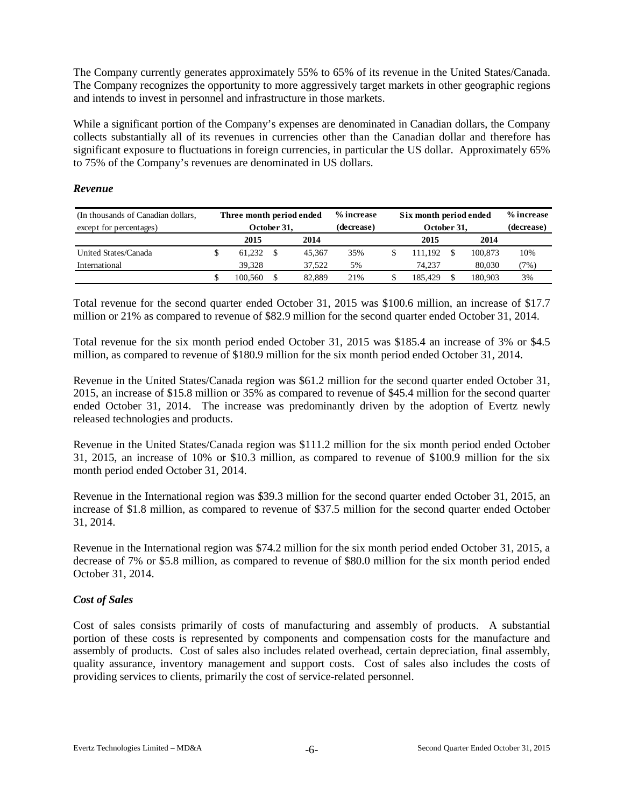The Company currently generates approximately 55% to 65% of its revenue in the United States/Canada. The Company recognizes the opportunity to more aggressively target markets in other geographic regions and intends to invest in personnel and infrastructure in those markets.

While a significant portion of the Company's expenses are denominated in Canadian dollars, the Company collects substantially all of its revenues in currencies other than the Canadian dollar and therefore has significant exposure to fluctuations in foreign currencies, in particular the US dollar. Approximately 65% to 75% of the Company's revenues are denominated in US dollars.

#### *Revenue*

| (In thousands of Canadian dollars, |             | Three month period ended |  |            | % increase  | Six month period ended |            | % increase |        |
|------------------------------------|-------------|--------------------------|--|------------|-------------|------------------------|------------|------------|--------|
| except for percentages)            | October 31, |                          |  | (decrease) | October 31, |                        | (decrease) |            |        |
|                                    |             | 2014<br>2015             |  |            |             | 2015                   | 2014       |            |        |
| United States/Canada               |             | 61.232                   |  | 45.367     | 35%         | 111.192                |            | 100.873    | 10%    |
| International                      |             | 39.328                   |  | 37.522     | 5%          | 74.237                 |            | 80.030     | $7\%)$ |
|                                    |             | 100.560                  |  | 82.889     | 21%         | 185.429                |            | 180.903    | 3%     |

Total revenue for the second quarter ended October 31, 2015 was \$100.6 million, an increase of \$17.7 million or 21% as compared to revenue of \$82.9 million for the second quarter ended October 31, 2014.

Total revenue for the six month period ended October 31, 2015 was \$185.4 an increase of 3% or \$4.5 million, as compared to revenue of \$180.9 million for the six month period ended October 31, 2014.

Revenue in the United States/Canada region was \$61.2 million for the second quarter ended October 31, 2015, an increase of \$15.8 million or 35% as compared to revenue of \$45.4 million for the second quarter ended October 31, 2014. The increase was predominantly driven by the adoption of Evertz newly released technologies and products.

Revenue in the United States/Canada region was \$111.2 million for the six month period ended October 31, 2015, an increase of 10% or \$10.3 million, as compared to revenue of \$100.9 million for the six month period ended October 31, 2014.

Revenue in the International region was \$39.3 million for the second quarter ended October 31, 2015, an increase of \$1.8 million, as compared to revenue of \$37.5 million for the second quarter ended October 31, 2014.

Revenue in the International region was \$74.2 million for the six month period ended October 31, 2015, a decrease of 7% or \$5.8 million, as compared to revenue of \$80.0 million for the six month period ended October 31, 2014.

## *Cost of Sales*

Cost of sales consists primarily of costs of manufacturing and assembly of products. A substantial portion of these costs is represented by components and compensation costs for the manufacture and assembly of products. Cost of sales also includes related overhead, certain depreciation, final assembly, quality assurance, inventory management and support costs. Cost of sales also includes the costs of providing services to clients, primarily the cost of service-related personnel.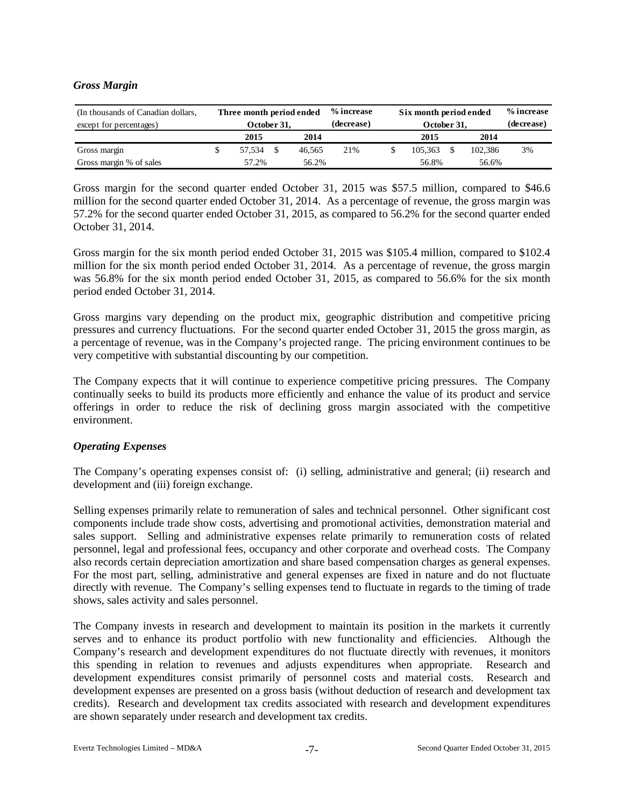## *Gross Margin*

| (In thousands of Canadian dollars, | Three month period ended |              |  | % increase | Six month period ended |                |            | % increase |    |
|------------------------------------|--------------------------|--------------|--|------------|------------------------|----------------|------------|------------|----|
| except for percentages)            |                          | October 31,  |  |            | (decrease)             | October 31,    | (decrease) |            |    |
|                                    |                          | 2014<br>2015 |  |            |                        | 2015           |            | 2014       |    |
| Gross margin                       |                          | 57.534       |  | 46.565     | 21%                    | 105.363        |            | 102.386    | 3% |
| Gross margin % of sales            |                          | 57.2%        |  | 56.2%      |                        | 56.8%<br>56.6% |            |            |    |

Gross margin for the second quarter ended October 31, 2015 was \$57.5 million, compared to \$46.6 million for the second quarter ended October 31, 2014. As a percentage of revenue, the gross margin was 57.2% for the second quarter ended October 31, 2015, as compared to 56.2% for the second quarter ended October 31, 2014.

Gross margin for the six month period ended October 31, 2015 was \$105.4 million, compared to \$102.4 million for the six month period ended October 31, 2014. As a percentage of revenue, the gross margin was 56.8% for the six month period ended October 31, 2015, as compared to 56.6% for the six month period ended October 31, 2014.

Gross margins vary depending on the product mix, geographic distribution and competitive pricing pressures and currency fluctuations. For the second quarter ended October 31, 2015 the gross margin, as a percentage of revenue, was in the Company's projected range. The pricing environment continues to be very competitive with substantial discounting by our competition.

The Company expects that it will continue to experience competitive pricing pressures. The Company continually seeks to build its products more efficiently and enhance the value of its product and service offerings in order to reduce the risk of declining gross margin associated with the competitive environment.

## *Operating Expenses*

The Company's operating expenses consist of: (i) selling, administrative and general; (ii) research and development and (iii) foreign exchange.

Selling expenses primarily relate to remuneration of sales and technical personnel. Other significant cost components include trade show costs, advertising and promotional activities, demonstration material and sales support. Selling and administrative expenses relate primarily to remuneration costs of related personnel, legal and professional fees, occupancy and other corporate and overhead costs. The Company also records certain depreciation amortization and share based compensation charges as general expenses. For the most part, selling, administrative and general expenses are fixed in nature and do not fluctuate directly with revenue. The Company's selling expenses tend to fluctuate in regards to the timing of trade shows, sales activity and sales personnel.

The Company invests in research and development to maintain its position in the markets it currently serves and to enhance its product portfolio with new functionality and efficiencies. Although the Company's research and development expenditures do not fluctuate directly with revenues, it monitors this spending in relation to revenues and adjusts expenditures when appropriate. Research and development expenditures consist primarily of personnel costs and material costs. Research and development expenses are presented on a gross basis (without deduction of research and development tax credits). Research and development tax credits associated with research and development expenditures are shown separately under research and development tax credits.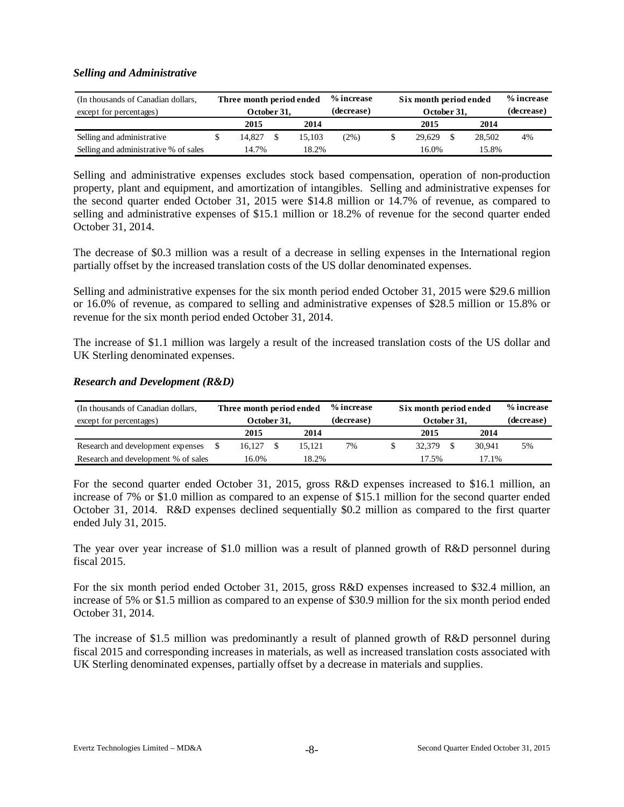#### *Selling and Administrative*

| (In thousands of Canadian dollars,<br>except for percentages) | Three month period ended<br>October 31. |        |      | % increase<br>(decrease) | Six month period ended<br>October 31, | % increase<br>(decrease) |       |        |    |
|---------------------------------------------------------------|-----------------------------------------|--------|------|--------------------------|---------------------------------------|--------------------------|-------|--------|----|
|                                                               |                                         | 2015   | 2014 |                          | 2015                                  | 2014                     |       |        |    |
| Selling and administrative                                    |                                         | 14.827 |      | 15.103                   | (2%)                                  | 29.629                   |       | 28.502 | 4% |
| Selling and administrative % of sales                         | 14.7%<br>18.2%                          |        |      |                          | 16.0%                                 |                          | 15.8% |        |    |

Selling and administrative expenses excludes stock based compensation, operation of non-production property, plant and equipment, and amortization of intangibles. Selling and administrative expenses for the second quarter ended October 31, 2015 were \$14.8 million or 14.7% of revenue, as compared to selling and administrative expenses of \$15.1 million or 18.2% of revenue for the second quarter ended October 31, 2014.

The decrease of \$0.3 million was a result of a decrease in selling expenses in the International region partially offset by the increased translation costs of the US dollar denominated expenses.

Selling and administrative expenses for the six month period ended October 31, 2015 were \$29.6 million or 16.0% of revenue, as compared to selling and administrative expenses of \$28.5 million or 15.8% or revenue for the six month period ended October 31, 2014.

The increase of \$1.1 million was largely a result of the increased translation costs of the US dollar and UK Sterling denominated expenses.

#### *Research and Development (R&D)*

| (In thousands of Canadian dollars,  | Three month period ended |      |        | % increase | Six month period ended |      |            | % increase |
|-------------------------------------|--------------------------|------|--------|------------|------------------------|------|------------|------------|
| except for percentages)             | October 31,              |      |        | (decrease) | October 31,            |      | (decrease) |            |
|                                     | 2015                     | 2014 |        | 2015       |                        | 2014 |            |            |
| Research and development expenses   | 16.127                   |      | 15.121 | 7%         | 32,379                 |      | 30.941     | 5%         |
| Research and development % of sales | 16.0%                    |      | 18.2%  |            | 17.5%                  |      | 17.1%      |            |

For the second quarter ended October 31, 2015, gross R&D expenses increased to \$16.1 million, an increase of 7% or \$1.0 million as compared to an expense of \$15.1 million for the second quarter ended October 31, 2014. R&D expenses declined sequentially \$0.2 million as compared to the first quarter ended July 31, 2015.

The year over year increase of \$1.0 million was a result of planned growth of R&D personnel during fiscal 2015.

For the six month period ended October 31, 2015, gross R&D expenses increased to \$32.4 million, an increase of 5% or \$1.5 million as compared to an expense of \$30.9 million for the six month period ended October 31, 2014.

The increase of \$1.5 million was predominantly a result of planned growth of R&D personnel during fiscal 2015 and corresponding increases in materials, as well as increased translation costs associated with UK Sterling denominated expenses, partially offset by a decrease in materials and supplies.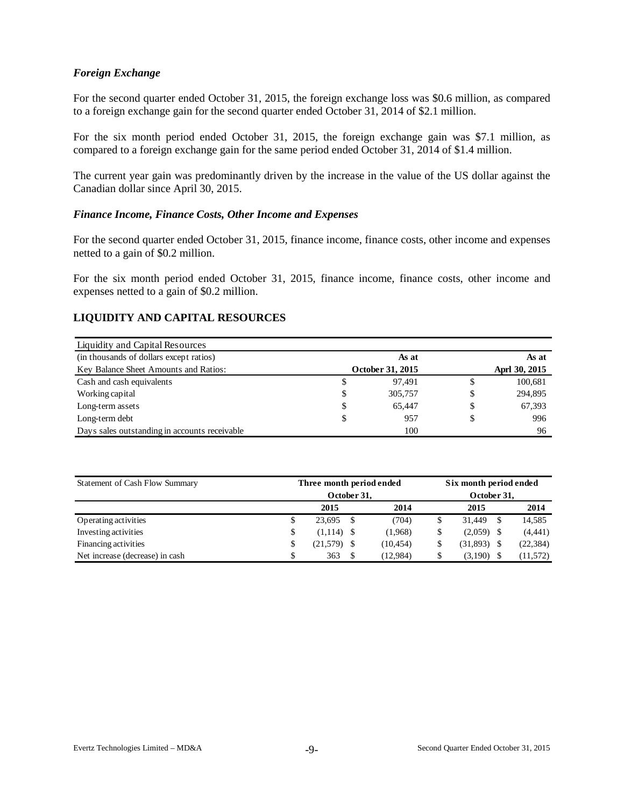#### *Foreign Exchange*

For the second quarter ended October 31, 2015, the foreign exchange loss was \$0.6 million, as compared to a foreign exchange gain for the second quarter ended October 31, 2014 of \$2.1 million.

For the six month period ended October 31, 2015, the foreign exchange gain was \$7.1 million, as compared to a foreign exchange gain for the same period ended October 31, 2014 of \$1.4 million.

The current year gain was predominantly driven by the increase in the value of the US dollar against the Canadian dollar since April 30, 2015.

#### *Finance Income, Finance Costs, Other Income and Expenses*

For the second quarter ended October 31, 2015, finance income, finance costs, other income and expenses netted to a gain of \$0.2 million.

For the six month period ended October 31, 2015, finance income, finance costs, other income and expenses netted to a gain of \$0.2 million.

## **LIQUIDITY AND CAPITAL RESOURCES**

| Liquidity and Capital Resources               |    |                  |       |               |  |  |  |
|-----------------------------------------------|----|------------------|-------|---------------|--|--|--|
| (in thousands of dollars except ratios)       |    | As at            | As at |               |  |  |  |
| Key Balance Sheet Amounts and Ratios:         |    | October 31, 2015 |       | Aprl 30, 2015 |  |  |  |
| Cash and cash equivalents                     | γ  | 97.491           | S     | 100,681       |  |  |  |
| Working capital                               | \$ | 305,757          | S     | 294,895       |  |  |  |
| Long-term assets                              | \$ | 65.447           | S     | 67,393        |  |  |  |
| Long-term debt                                | S  | 957              |       | 996           |  |  |  |
| Days sales outstanding in accounts receivable |    | 100              |       | 96            |  |  |  |

| Statement of Cash Flow Summary  | Three month period ended | Six month period ended |              |    |           |  |  |  |
|---------------------------------|--------------------------|------------------------|--------------|----|-----------|--|--|--|
|                                 | October 31,              | October 31,            |              |    |           |  |  |  |
|                                 | 2015                     | 2014                   | 2015         |    | 2014      |  |  |  |
| Operating activities            | \$<br>23.695             | (704)                  | 31.449       | -S | 14,585    |  |  |  |
| Investing activities            | \$<br>$(1,114)$ \$       | (1,968)                | $(2,059)$ \$ |    | (4, 441)  |  |  |  |
| Financing activities            | \$<br>$(21,579)$ \$      | (10, 454)              | (31,893)     |    | (22, 384) |  |  |  |
| Net increase (decrease) in cash | \$<br>363                | (12,984)               | (3,190)      |    | (11, 572) |  |  |  |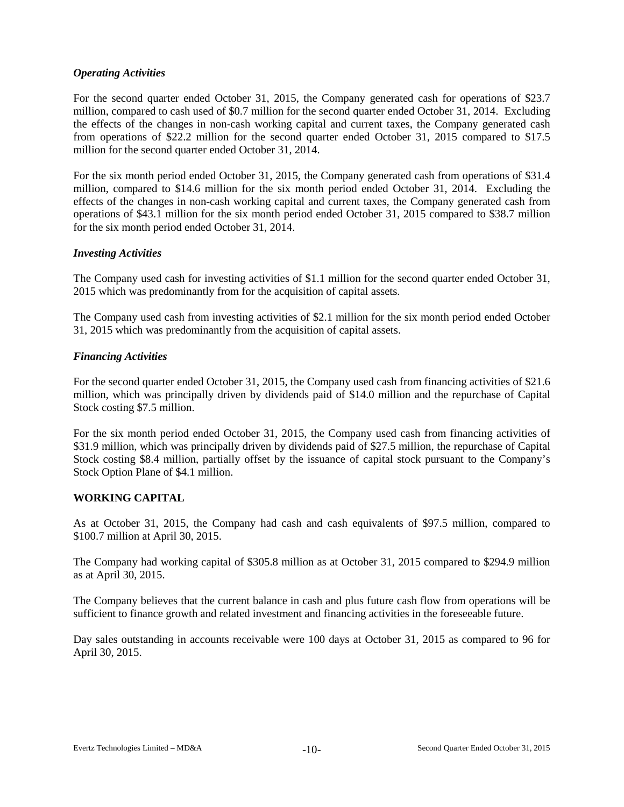## *Operating Activities*

For the second quarter ended October 31, 2015, the Company generated cash for operations of \$23.7 million, compared to cash used of \$0.7 million for the second quarter ended October 31, 2014. Excluding the effects of the changes in non-cash working capital and current taxes, the Company generated cash from operations of \$22.2 million for the second quarter ended October 31, 2015 compared to \$17.5 million for the second quarter ended October 31, 2014.

For the six month period ended October 31, 2015, the Company generated cash from operations of \$31.4 million, compared to \$14.6 million for the six month period ended October 31, 2014. Excluding the effects of the changes in non-cash working capital and current taxes, the Company generated cash from operations of \$43.1 million for the six month period ended October 31, 2015 compared to \$38.7 million for the six month period ended October 31, 2014.

## *Investing Activities*

The Company used cash for investing activities of \$1.1 million for the second quarter ended October 31, 2015 which was predominantly from for the acquisition of capital assets.

The Company used cash from investing activities of \$2.1 million for the six month period ended October 31, 2015 which was predominantly from the acquisition of capital assets.

## *Financing Activities*

For the second quarter ended October 31, 2015, the Company used cash from financing activities of \$21.6 million, which was principally driven by dividends paid of \$14.0 million and the repurchase of Capital Stock costing \$7.5 million.

For the six month period ended October 31, 2015, the Company used cash from financing activities of \$31.9 million, which was principally driven by dividends paid of \$27.5 million, the repurchase of Capital Stock costing \$8.4 million, partially offset by the issuance of capital stock pursuant to the Company's Stock Option Plane of \$4.1 million.

## **WORKING CAPITAL**

As at October 31, 2015, the Company had cash and cash equivalents of \$97.5 million, compared to \$100.7 million at April 30, 2015.

The Company had working capital of \$305.8 million as at October 31, 2015 compared to \$294.9 million as at April 30, 2015.

The Company believes that the current balance in cash and plus future cash flow from operations will be sufficient to finance growth and related investment and financing activities in the foreseeable future.

Day sales outstanding in accounts receivable were 100 days at October 31, 2015 as compared to 96 for April 30, 2015.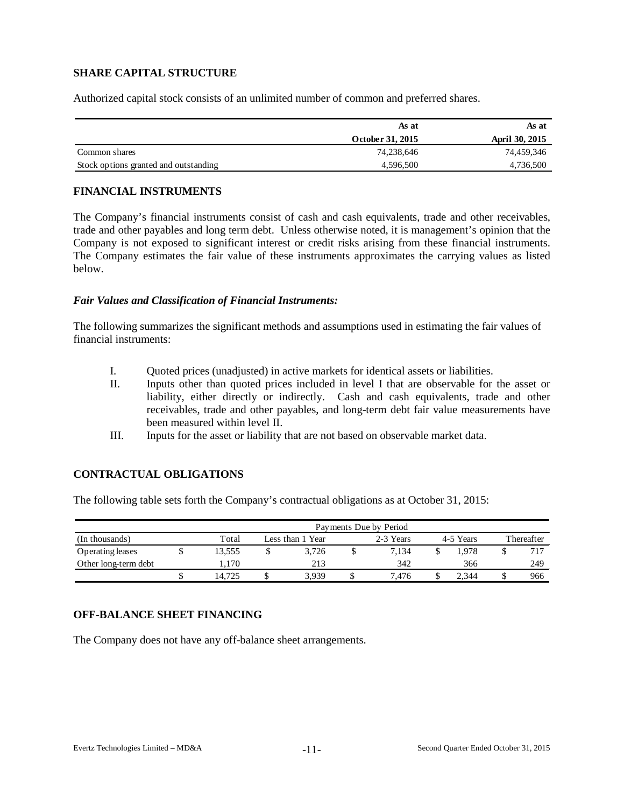# **SHARE CAPITAL STRUCTURE**

Authorized capital stock consists of an unlimited number of common and preferred shares.

|                                       | As at            | As at          |
|---------------------------------------|------------------|----------------|
|                                       | October 31, 2015 | April 30, 2015 |
| Common shares                         | 74,238,646       | 74,459,346     |
| Stock options granted and outstanding | 4,596,500        | 4,736,500      |

## **FINANCIAL INSTRUMENTS**

The Company's financial instruments consist of cash and cash equivalents, trade and other receivables, trade and other payables and long term debt. Unless otherwise noted, it is management's opinion that the Company is not exposed to significant interest or credit risks arising from these financial instruments. The Company estimates the fair value of these instruments approximates the carrying values as listed below.

## *Fair Values and Classification of Financial Instruments:*

The following summarizes the significant methods and assumptions used in estimating the fair values of financial instruments:

- I. Quoted prices (unadjusted) in active markets for identical assets or liabilities.
- II. Inputs other than quoted prices included in level I that are observable for the asset or liability, either directly or indirectly. Cash and cash equivalents, trade and other receivables, trade and other payables, and long-term debt fair value measurements have been measured within level II.
- III. Inputs for the asset or liability that are not based on observable market data.

## **CONTRACTUAL OBLIGATIONS**

The following table sets forth the Company's contractual obligations as at October 31, 2015:

|                      | Payments Due by Period |   |                  |  |           |  |           |            |     |  |  |  |  |  |
|----------------------|------------------------|---|------------------|--|-----------|--|-----------|------------|-----|--|--|--|--|--|
| (In thousands)       | Total                  |   | Less than 1 Year |  | 2-3 Years |  | 4-5 Years | Thereafter |     |  |  |  |  |  |
| Operating leases     | 3,555                  |   | 3.726            |  | 7.134     |  | .978      |            |     |  |  |  |  |  |
| Other long-term debt | 1.170                  |   | 213              |  | 342       |  | 366       |            | 249 |  |  |  |  |  |
|                      | 14.725                 | D | 3.939            |  | 7.476     |  | 2.344     |            | 966 |  |  |  |  |  |

## **OFF-BALANCE SHEET FINANCING**

The Company does not have any off-balance sheet arrangements.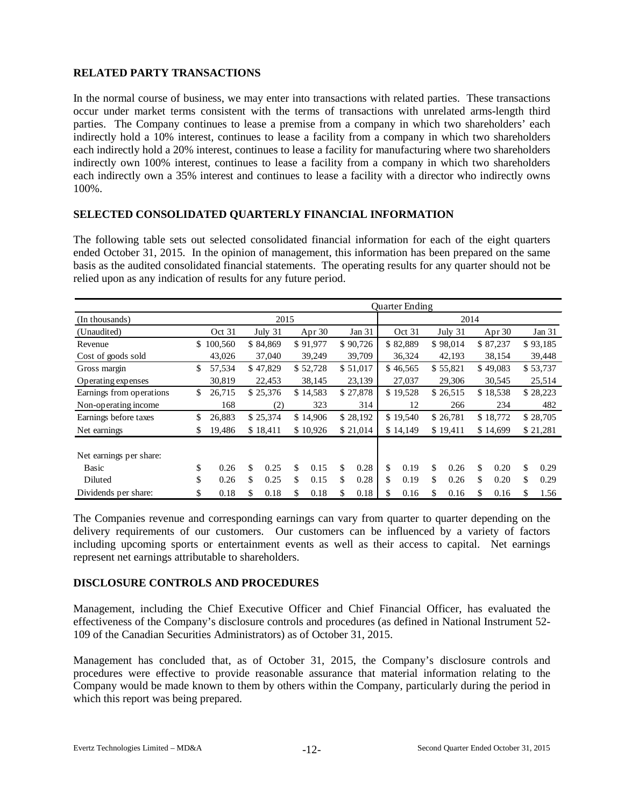# **RELATED PARTY TRANSACTIONS**

In the normal course of business, we may enter into transactions with related parties. These transactions occur under market terms consistent with the terms of transactions with unrelated arms-length third parties. The Company continues to lease a premise from a company in which two shareholders' each indirectly hold a 10% interest, continues to lease a facility from a company in which two shareholders each indirectly hold a 20% interest, continues to lease a facility for manufacturing where two shareholders indirectly own 100% interest, continues to lease a facility from a company in which two shareholders each indirectly own a 35% interest and continues to lease a facility with a director who indirectly owns 100%.

#### **SELECTED CONSOLIDATED QUARTERLY FINANCIAL INFORMATION**

The following table sets out selected consolidated financial information for each of the eight quarters ended October 31, 2015. In the opinion of management, this information has been prepared on the same basis as the audited consolidated financial statements. The operating results for any quarter should not be relied upon as any indication of results for any future period.

|                          |     |         |            |    |          |    |          |    | <b>Ouarter Ending</b> |            |            |     |          |
|--------------------------|-----|---------|------------|----|----------|----|----------|----|-----------------------|------------|------------|-----|----------|
| (In thousands)           |     |         | 2015       |    |          |    |          |    |                       | 2014       |            |     |          |
| (Unaudited)              |     | Oct 31  | July 31    |    | Apr $30$ |    | Jan 31   |    | Oct 31                | July 31    | Apr $30$   |     | Jan $31$ |
| Revenue                  | \$. | 100,560 | \$84,869   |    | \$91,977 |    | \$90,726 |    | \$82,889              | \$98,014   | \$87,237   |     | \$93,185 |
| Cost of goods sold       |     | 43,026  | 37,040     |    | 39,249   |    | 39,709   |    | 36,324                | 42,193     | 38,154     |     | 39,448   |
| Gross margin             | \$  | 57,534  | \$47,829   |    | \$52,728 |    | \$51,017 |    | \$46,565              | \$55,821   | \$49,083   |     | \$53,737 |
| Operating expenses       |     | 30,819  | 22,453     |    | 38,145   |    | 23,139   |    | 27,037                | 29,306     | 30,545     |     | 25,514   |
| Earnings from operations | \$  | 26,715  | \$25,376   |    | \$14,583 |    | \$27,878 |    | \$19,528              | \$26,515   | \$18,538   |     | \$28,223 |
| Non-operating income     |     | 168     | (2)        |    | 323      |    | 314      |    | 12                    | 266        | 234        |     | 482      |
| Earnings before taxes    | \$  | 26,883  | \$25,374   |    | \$14,906 |    | \$28,192 |    | \$19,540              | \$26,781   | \$18,772   |     | \$28,705 |
| Net earnings             | \$  | 19,486  | \$18,411   |    | \$10,926 |    | \$21,014 |    | \$14,149              | \$19,411   | \$14,699   |     | \$21,281 |
| Net earnings per share:  |     |         |            |    |          |    |          |    |                       |            |            |     |          |
| Basic                    | \$  | 0.26    | \$<br>0.25 | \$ | 0.15     | \$ | 0.28     | \$ | 0.19                  | \$<br>0.26 | \$<br>0.20 | \$. | 0.29     |
| Diluted                  | \$  | 0.26    | \$<br>0.25 | \$ | 0.15     | \$ | 0.28     | \$ | 0.19                  | \$<br>0.26 | \$<br>0.20 | \$  | 0.29     |
| Dividends per share:     | \$  | 0.18    | \$<br>0.18 | \$ | 0.18     | \$ | 0.18     | \$ | 0.16                  | \$<br>0.16 | \$<br>0.16 | \$  | 1.56     |

The Companies revenue and corresponding earnings can vary from quarter to quarter depending on the delivery requirements of our customers. Our customers can be influenced by a variety of factors including upcoming sports or entertainment events as well as their access to capital. Net earnings represent net earnings attributable to shareholders.

## **DISCLOSURE CONTROLS AND PROCEDURES**

Management, including the Chief Executive Officer and Chief Financial Officer, has evaluated the effectiveness of the Company's disclosure controls and procedures (as defined in National Instrument 52- 109 of the Canadian Securities Administrators) as of October 31, 2015.

Management has concluded that, as of October 31, 2015, the Company's disclosure controls and procedures were effective to provide reasonable assurance that material information relating to the Company would be made known to them by others within the Company, particularly during the period in which this report was being prepared.